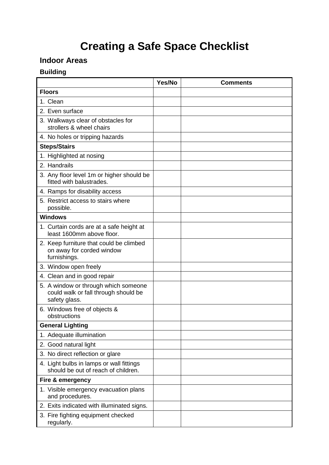# **Creating a Safe Space Checklist**

## **Indoor Areas**

### **Building**

|                                                                                               | Yes/No | <b>Comments</b> |
|-----------------------------------------------------------------------------------------------|--------|-----------------|
| <b>Floors</b>                                                                                 |        |                 |
| 1. Clean                                                                                      |        |                 |
| 2. Even surface                                                                               |        |                 |
| 3. Walkways clear of obstacles for<br>strollers & wheel chairs                                |        |                 |
| 4. No holes or tripping hazards                                                               |        |                 |
| <b>Steps/Stairs</b>                                                                           |        |                 |
| 1. Highlighted at nosing                                                                      |        |                 |
| 2. Handrails                                                                                  |        |                 |
| 3. Any floor level 1m or higher should be<br>fitted with balustrades.                         |        |                 |
| 4. Ramps for disability access                                                                |        |                 |
| 5. Restrict access to stairs where<br>possible.                                               |        |                 |
| <b>Windows</b>                                                                                |        |                 |
| 1. Curtain cords are at a safe height at<br>least 1600mm above floor.                         |        |                 |
| 2. Keep furniture that could be climbed<br>on away for corded window<br>furnishings.          |        |                 |
| 3. Window open freely                                                                         |        |                 |
| 4. Clean and in good repair                                                                   |        |                 |
| 5. A window or through which someone<br>could walk or fall through should be<br>safety glass. |        |                 |
| 6. Windows free of objects &<br>obstructions                                                  |        |                 |
| <b>General Lighting</b>                                                                       |        |                 |
| 1. Adequate illumination                                                                      |        |                 |
| 2. Good natural light                                                                         |        |                 |
| 3. No direct reflection or glare                                                              |        |                 |
| 4. Light bulbs in lamps or wall fittings<br>should be out of reach of children.               |        |                 |
| Fire & emergency                                                                              |        |                 |
| 1. Visible emergency evacuation plans<br>and procedures.                                      |        |                 |
| 2. Exits indicated with illuminated signs.                                                    |        |                 |
| 3. Fire fighting equipment checked<br>regularly.                                              |        |                 |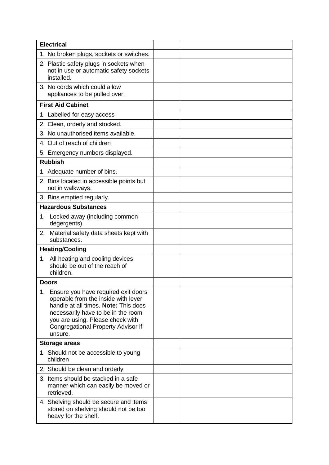| <b>Electrical</b>                                                                                                                                                                                                                                |  |
|--------------------------------------------------------------------------------------------------------------------------------------------------------------------------------------------------------------------------------------------------|--|
| 1. No broken plugs, sockets or switches.                                                                                                                                                                                                         |  |
| 2. Plastic safety plugs in sockets when<br>not in use or automatic safety sockets<br>installed.                                                                                                                                                  |  |
| 3. No cords which could allow<br>appliances to be pulled over.                                                                                                                                                                                   |  |
| <b>First Aid Cabinet</b>                                                                                                                                                                                                                         |  |
| 1. Labelled for easy access                                                                                                                                                                                                                      |  |
| 2. Clean, orderly and stocked.                                                                                                                                                                                                                   |  |
| 3. No unauthorised items available.                                                                                                                                                                                                              |  |
| 4. Out of reach of children                                                                                                                                                                                                                      |  |
| 5. Emergency numbers displayed.                                                                                                                                                                                                                  |  |
| <b>Rubbish</b>                                                                                                                                                                                                                                   |  |
| 1. Adequate number of bins.                                                                                                                                                                                                                      |  |
| 2. Bins located in accessible points but<br>not in walkways.                                                                                                                                                                                     |  |
| 3. Bins emptied regularly.                                                                                                                                                                                                                       |  |
| <b>Hazardous Substances</b>                                                                                                                                                                                                                      |  |
| Locked away (including common<br>1.<br>degergents).                                                                                                                                                                                              |  |
| Material safety data sheets kept with<br>2.<br>substances.                                                                                                                                                                                       |  |
| <b>Heating/Cooling</b>                                                                                                                                                                                                                           |  |
| 1. All heating and cooling devices<br>should be out of the reach of<br>children.                                                                                                                                                                 |  |
| <b>Doors</b>                                                                                                                                                                                                                                     |  |
| 1. Ensure you have required exit doors<br>operable from the inside with lever<br>handle at all times. Note: This does<br>necessarily have to be in the room<br>you are using. Please check with<br>Congregational Property Advisor if<br>unsure. |  |
| <b>Storage areas</b>                                                                                                                                                                                                                             |  |
| 1. Should not be accessible to young<br>children                                                                                                                                                                                                 |  |
| 2. Should be clean and orderly                                                                                                                                                                                                                   |  |
| 3. Items should be stacked in a safe<br>manner which can easily be moved or<br>retrieved.                                                                                                                                                        |  |
| 4. Shelving should be secure and items<br>stored on shelving should not be too<br>heavy for the shelf.                                                                                                                                           |  |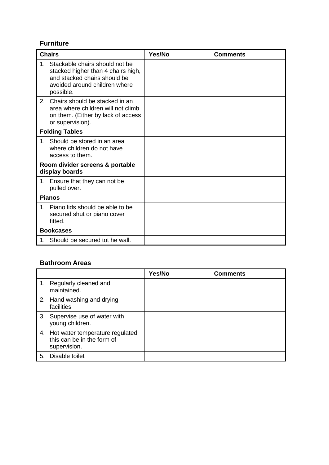## **Furniture**

|    | <b>Chairs</b>                                                                                                                                         | Yes/No | <b>Comments</b> |
|----|-------------------------------------------------------------------------------------------------------------------------------------------------------|--------|-----------------|
|    | 1. Stackable chairs should not be<br>stacked higher than 4 chairs high,<br>and stacked chairs should be<br>avoided around children where<br>possible. |        |                 |
| 2. | Chairs should be stacked in an<br>area where children will not climb<br>on them. (Either by lack of access<br>or supervision).                        |        |                 |
|    | <b>Folding Tables</b>                                                                                                                                 |        |                 |
| 1. | Should be stored in an area<br>where children do not have<br>access to them.                                                                          |        |                 |
|    | Room divider screens & portable<br>display boards                                                                                                     |        |                 |
|    | 1. Ensure that they can not be<br>pulled over.                                                                                                        |        |                 |
|    | <b>Pianos</b>                                                                                                                                         |        |                 |
|    | 1. Piano lids should be able to be<br>secured shut or piano cover<br>fitted.                                                                          |        |                 |
|    | <b>Bookcases</b>                                                                                                                                      |        |                 |
|    | 1. Should be secured tot he wall.                                                                                                                     |        |                 |

#### **Bathroom Areas**

|                                                                                   | Yes/No | <b>Comments</b> |
|-----------------------------------------------------------------------------------|--------|-----------------|
| 1. Regularly cleaned and<br>maintained.                                           |        |                 |
| 2. Hand washing and drying<br>facilities                                          |        |                 |
| 3. Supervise use of water with<br>young children.                                 |        |                 |
| 4. Hot water temperature regulated,<br>this can be in the form of<br>supervision. |        |                 |
| 5. Disable toilet                                                                 |        |                 |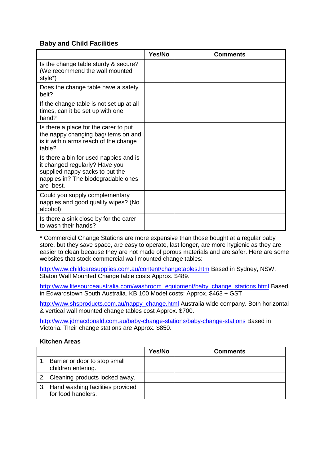#### **Baby and Child Facilities**

|                                                                                                                                                                | Yes/No | <b>Comments</b> |
|----------------------------------------------------------------------------------------------------------------------------------------------------------------|--------|-----------------|
| Is the change table sturdy & secure?<br>(We recommend the wall mounted<br>style*)                                                                              |        |                 |
| Does the change table have a safety<br>belt?                                                                                                                   |        |                 |
| If the change table is not set up at all<br>times, can it be set up with one<br>hand?                                                                          |        |                 |
| Is there a place for the carer to put<br>the nappy changing bag/items on and<br>is it within arms reach of the change<br>table?                                |        |                 |
| Is there a bin for used nappies and is<br>it changed regularly? Have you<br>supplied nappy sacks to put the<br>nappies in? The biodegradable ones<br>are best. |        |                 |
| Could you supply complementary<br>nappies and good quality wipes? (No<br>alcohol)                                                                              |        |                 |
| Is there a sink close by for the carer<br>to wash their hands?                                                                                                 |        |                 |

\* Commercial Change Stations are more expensive than those bought at a regular baby store, but they save space, are easy to operate, last longer, are more hygienic as they are easier to clean because they are not made of porous materials and are safer. Here are some websites that stock commercial wall mounted change tables:

<http://www.childcaresupplies.com.au/content/changetables.htm> Based in Sydney, NSW. Staton Wall Mounted Change table costs Approx. \$489.

[http://www.litesourceaustralia.com/washroom\\_equipment/baby\\_change\\_stations.html](http://www.litesourceaustralia.com/washroom_equipment/baby_change_stations.html) Based in Edwardstown South Australia. KB 100 Model costs: Approx. \$463 + GST

[http://www.shsproducts.com.au/nappy\\_change.html](http://www.shsproducts.com.au/nappy_change.html) Australia wide company. Both horizontal & vertical wall mounted change tables cost Approx. \$700.

<http://www.jdmacdonald.com.au/baby-change-stations/baby-change-stations> Based in Victoria. Their change stations are Approx. \$850.

#### **Kitchen Areas**

|                                                           | Yes/No | <b>Comments</b> |
|-----------------------------------------------------------|--------|-----------------|
| Barrier or door to stop small<br>children entering.       |        |                 |
| 2. Cleaning products locked away.                         |        |                 |
| 3. Hand washing facilities provided<br>for food handlers. |        |                 |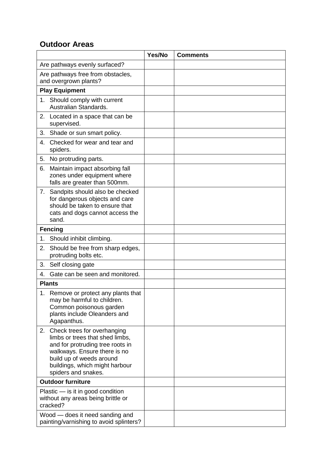# **Outdoor Areas**

|                               |                                                                                                                                                                                                                         | Yes/No | <b>Comments</b> |
|-------------------------------|-------------------------------------------------------------------------------------------------------------------------------------------------------------------------------------------------------------------------|--------|-----------------|
| Are pathways evenly surfaced? |                                                                                                                                                                                                                         |        |                 |
|                               | Are pathways free from obstacles,<br>and overgrown plants?                                                                                                                                                              |        |                 |
|                               | <b>Play Equipment</b>                                                                                                                                                                                                   |        |                 |
| 1.                            | Should comply with current<br>Australian Standards.                                                                                                                                                                     |        |                 |
|                               | 2. Located in a space that can be<br>supervised.                                                                                                                                                                        |        |                 |
| 3.                            | Shade or sun smart policy.                                                                                                                                                                                              |        |                 |
| 4.                            | Checked for wear and tear and<br>spiders.                                                                                                                                                                               |        |                 |
| 5.                            | No protruding parts.                                                                                                                                                                                                    |        |                 |
| 6.                            | Maintain impact absorbing fall<br>zones under equipment where<br>falls are greater than 500mm.                                                                                                                          |        |                 |
| 7.                            | Sandpits should also be checked<br>for dangerous objects and care<br>should be taken to ensure that<br>cats and dogs cannot access the<br>sand.                                                                         |        |                 |
|                               | <b>Fencing</b>                                                                                                                                                                                                          |        |                 |
| 1.                            | Should inhibit climbing.                                                                                                                                                                                                |        |                 |
| 2.                            | Should be free from sharp edges,<br>protruding bolts etc.                                                                                                                                                               |        |                 |
| 3.                            | Self closing gate                                                                                                                                                                                                       |        |                 |
| 4.                            | Gate can be seen and monitored.                                                                                                                                                                                         |        |                 |
|                               | <b>Plants</b>                                                                                                                                                                                                           |        |                 |
|                               | 1. Remove or protect any plants that<br>may be harmful to children.<br>Common poisonous garden<br>plants include Oleanders and<br>Agapanthus.                                                                           |        |                 |
| 2.                            | Check trees for overhanging<br>limbs or trees that shed limbs,<br>and for protruding tree roots in<br>walkways. Ensure there is no<br>build up of weeds around<br>buildings, which might harbour<br>spiders and snakes. |        |                 |
|                               | <b>Outdoor furniture</b>                                                                                                                                                                                                |        |                 |
|                               | Plastic - is it in good condition<br>without any areas being brittle or<br>cracked?                                                                                                                                     |        |                 |
|                               | Wood — does it need sanding and<br>painting/varnishing to avoid splinters?                                                                                                                                              |        |                 |